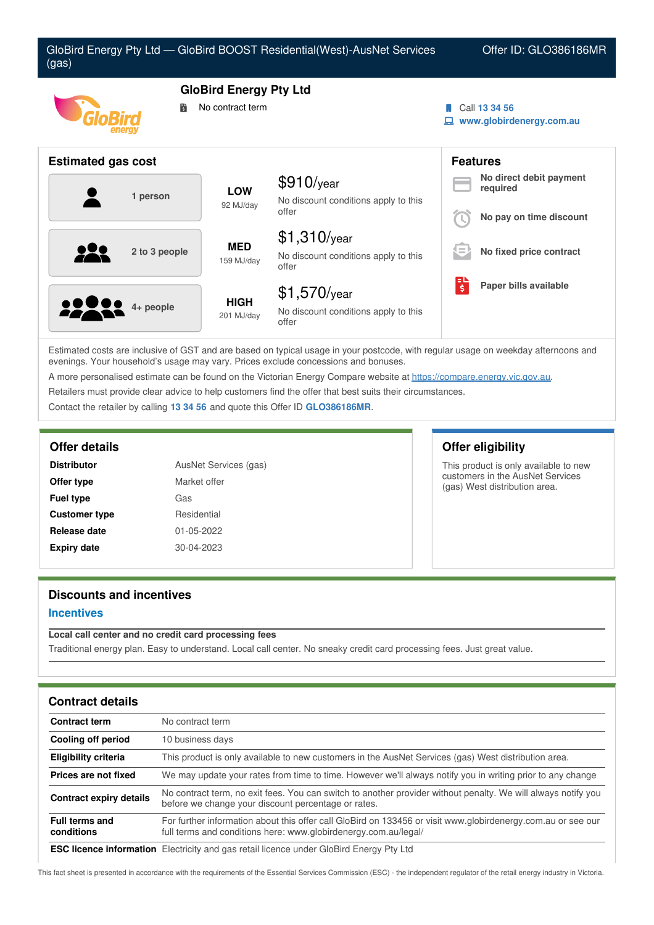| GloBird Energy Pty Ltd - GloBird BOOST Residential(West)-AusNet Services<br>(gas) |                                                   |                                                                 |   | Offer ID: GLO386186MR                                          |
|-----------------------------------------------------------------------------------|---------------------------------------------------|-----------------------------------------------------------------|---|----------------------------------------------------------------|
| 鬜                                                                                 | <b>GloBird Energy Pty Ltd</b><br>No contract term |                                                                 |   | Call 13 34 56<br>www.globirdenergy.com.au                      |
| <b>Estimated gas cost</b>                                                         |                                                   |                                                                 |   | <b>Features</b>                                                |
| 1 person                                                                          | <b>LOW</b><br>92 MJ/day                           | $$910$ /year<br>No discount conditions apply to this<br>offer   |   | No direct debit payment<br>required<br>No pay on time discount |
| 2 to 3 people                                                                     | <b>MED</b><br>159 MJ/day                          | $$1,310$ /year<br>No discount conditions apply to this<br>offer |   | No fixed price contract                                        |
| 4+ people                                                                         | <b>HIGH</b><br>201 MJ/day                         | $$1,570$ /year<br>No discount conditions apply to this<br>offer | 퇭 | Paper bills available                                          |

Estimated costs are inclusive of GST and are based on typical usage in your postcode, with regular usage on weekday afternoons and evenings. Your household's usage may vary. Prices exclude concessions and bonuses.

A more personalised estimate can be found on the Victorian Energy Compare website at <https://compare.energy.vic.gov.au>.

Retailers must provide clear advice to help customers find the offer that best suits their circumstances.

Contact the retailer by calling **13 34 56** and quote this Offer ID **GLO386186MR**.

| <b>Distributor</b>   | AusNet Services (gas) |  |  |
|----------------------|-----------------------|--|--|
| Offer type           | Market offer          |  |  |
| <b>Fuel type</b>     | Gas                   |  |  |
| <b>Customer type</b> | Residential           |  |  |
| Release date         | 01-05-2022            |  |  |
| <b>Expiry date</b>   | 30-04-2023            |  |  |

# **Offer details Offer eligibility**

This product is only available to new customers in the AusNet Services (gas) West distribution area.

# **Discounts and incentives**

# **Incentives**

## **Local call center and no credit card processing fees** Traditional energy plan. Easy to understand. Local call center. No sneaky credit card processing fees. Just great value.

| <b>Contract details</b>             |                                                                                                                                                                                 |
|-------------------------------------|---------------------------------------------------------------------------------------------------------------------------------------------------------------------------------|
| <b>Contract term</b>                | No contract term                                                                                                                                                                |
| Cooling off period                  | 10 business days                                                                                                                                                                |
| <b>Eligibility criteria</b>         | This product is only available to new customers in the AusNet Services (gas) West distribution area.                                                                            |
| Prices are not fixed                | We may update your rates from time to time. However we'll always notify you in writing prior to any change                                                                      |
| <b>Contract expiry details</b>      | No contract term, no exit fees. You can switch to another provider without penalty. We will always notify you<br>before we change your discount percentage or rates.            |
| <b>Full terms and</b><br>conditions | For further information about this offer call GloBird on 133456 or visit www.globirdenergy.com.au or see our<br>full terms and conditions here: www.globirdenergy.com.au/legal/ |
|                                     |                                                                                                                                                                                 |

**ESC licence information** Electricity and gas retail licence under GloBird Energy Pty Ltd

This fact sheet is presented in accordance with the requirements of the Essential Services Commission (ESC) - the independent regulator of the retail energy industry in Victoria.